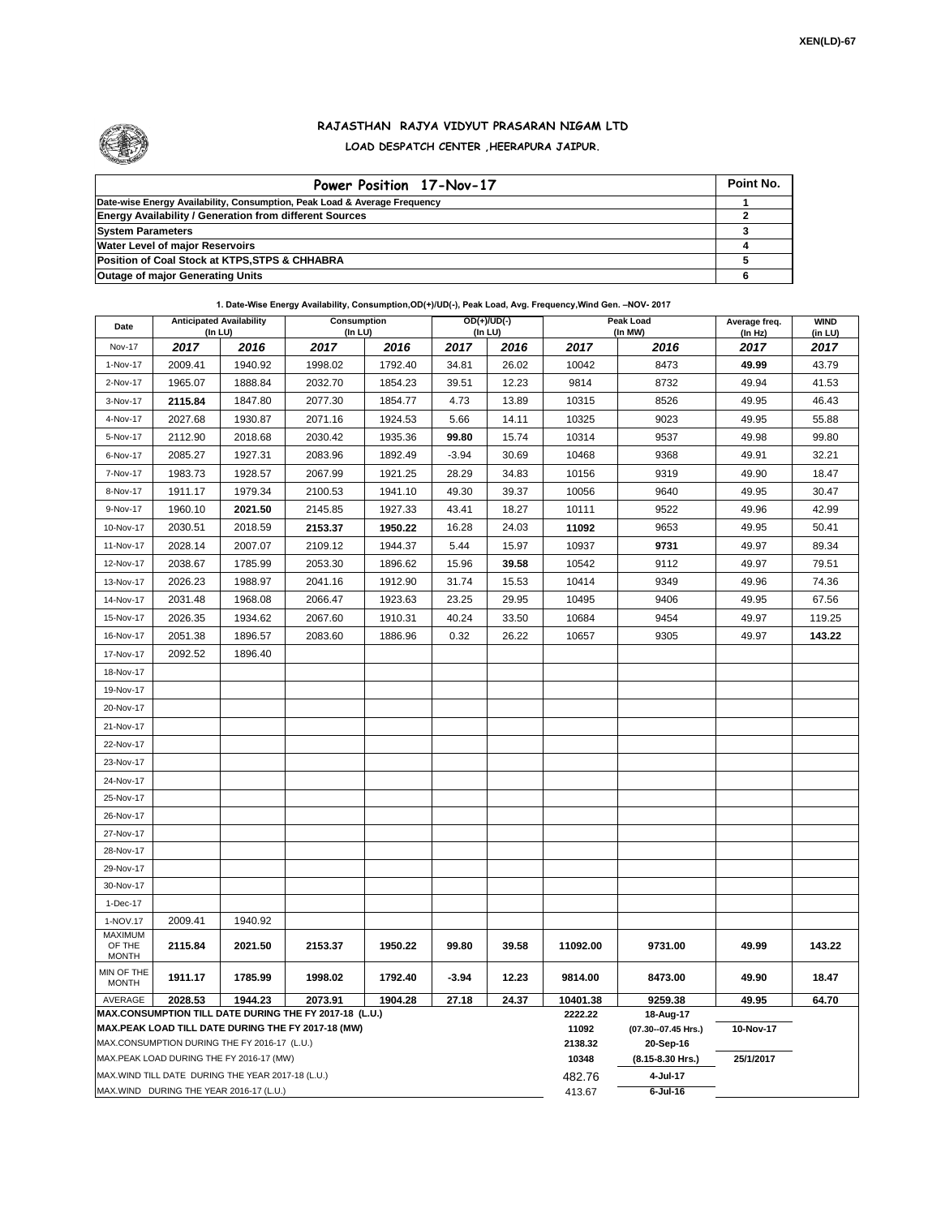

## **RAJASTHAN RAJYA VIDYUT PRASARAN NIGAM LTD LOAD DESPATCH CENTER ,HEERAPURA JAIPUR.**

| Power Position 17-Nov-17                                                  | Point No. |
|---------------------------------------------------------------------------|-----------|
| Date-wise Energy Availability, Consumption, Peak Load & Average Frequency |           |
| <b>Energy Availability / Generation from different Sources</b>            |           |
| <b>System Parameters</b>                                                  |           |
| <b>Water Level of major Reservoirs</b>                                    |           |
| Position of Coal Stock at KTPS, STPS & CHHABRA                            |           |
| <b>Outage of major Generating Units</b>                                   |           |

## **1. Date-Wise Energy Availability, Consumption,OD(+)/UD(-), Peak Load, Avg. Frequency,Wind Gen. –NOV- 2017**

| Date                                                                                                         | <b>Anticipated Availability</b><br>$($ In LU $)$ |         | <b>Consumption</b><br>(In LU) |         | $OD(+)/UD(-)$<br>(In LU) |       |                  | Peak Load<br>(In MW)             | Average freq.<br>(In Hz) | <b>WIND</b><br>(in LU) |
|--------------------------------------------------------------------------------------------------------------|--------------------------------------------------|---------|-------------------------------|---------|--------------------------|-------|------------------|----------------------------------|--------------------------|------------------------|
| <b>Nov-17</b>                                                                                                | 2017                                             | 2016    | 2017                          | 2016    | 2017                     | 2016  | 2017             | 2016                             | 2017                     | 2017                   |
| 1-Nov-17                                                                                                     | 2009.41                                          | 1940.92 | 1998.02                       | 1792.40 | 34.81                    | 26.02 | 10042            | 8473                             | 49.99                    | 43.79                  |
| 2-Nov-17                                                                                                     | 1965.07                                          | 1888.84 | 2032.70                       | 1854.23 | 39.51                    | 12.23 | 9814             | 8732                             | 49.94                    | 41.53                  |
| 3-Nov-17                                                                                                     | 2115.84                                          | 1847.80 | 2077.30                       | 1854.77 | 4.73                     | 13.89 | 10315            | 8526                             | 49.95                    | 46.43                  |
| 4-Nov-17                                                                                                     | 2027.68                                          | 1930.87 | 2071.16                       | 1924.53 | 5.66                     | 14.11 | 10325            | 9023                             | 49.95                    | 55.88                  |
| 5-Nov-17                                                                                                     | 2112.90                                          | 2018.68 | 2030.42                       | 1935.36 | 99.80                    | 15.74 | 10314            | 9537                             | 49.98                    | 99.80                  |
| 6-Nov-17                                                                                                     | 2085.27                                          | 1927.31 | 2083.96                       | 1892.49 | $-3.94$                  | 30.69 | 10468            | 9368                             | 49.91                    | 32.21                  |
| 7-Nov-17                                                                                                     | 1983.73                                          | 1928.57 | 2067.99                       | 1921.25 | 28.29                    | 34.83 | 10156            | 9319                             | 49.90                    | 18.47                  |
| 8-Nov-17                                                                                                     | 1911.17                                          | 1979.34 | 2100.53                       | 1941.10 | 49.30                    | 39.37 | 10056            | 9640                             | 49.95                    | 30.47                  |
| 9-Nov-17                                                                                                     | 1960.10                                          | 2021.50 | 2145.85                       | 1927.33 | 43.41                    | 18.27 | 10111            | 9522                             | 49.96                    | 42.99                  |
| 10-Nov-17                                                                                                    | 2030.51                                          | 2018.59 | 2153.37                       | 1950.22 | 16.28                    | 24.03 | 11092            | 9653                             | 49.95                    | 50.41                  |
| 11-Nov-17                                                                                                    | 2028.14                                          | 2007.07 | 2109.12                       | 1944.37 | 5.44                     | 15.97 | 10937            | 9731                             | 49.97                    | 89.34                  |
| 12-Nov-17                                                                                                    | 2038.67                                          | 1785.99 | 2053.30                       | 1896.62 | 15.96                    | 39.58 | 10542            | 9112                             | 49.97                    | 79.51                  |
| 13-Nov-17                                                                                                    | 2026.23                                          | 1988.97 | 2041.16                       | 1912.90 | 31.74                    | 15.53 | 10414            | 9349                             | 49.96                    | 74.36                  |
| 14-Nov-17                                                                                                    | 2031.48                                          | 1968.08 | 2066.47                       | 1923.63 | 23.25                    | 29.95 | 10495            | 9406                             | 49.95                    | 67.56                  |
| 15-Nov-17                                                                                                    | 2026.35                                          | 1934.62 | 2067.60                       | 1910.31 | 40.24                    | 33.50 | 10684            | 9454                             | 49.97                    | 119.25                 |
| 16-Nov-17                                                                                                    | 2051.38                                          | 1896.57 | 2083.60                       | 1886.96 | 0.32                     | 26.22 | 10657            | 9305                             | 49.97                    | 143.22                 |
| 17-Nov-17                                                                                                    | 2092.52                                          | 1896.40 |                               |         |                          |       |                  |                                  |                          |                        |
| 18-Nov-17                                                                                                    |                                                  |         |                               |         |                          |       |                  |                                  |                          |                        |
| 19-Nov-17                                                                                                    |                                                  |         |                               |         |                          |       |                  |                                  |                          |                        |
| 20-Nov-17                                                                                                    |                                                  |         |                               |         |                          |       |                  |                                  |                          |                        |
| 21-Nov-17                                                                                                    |                                                  |         |                               |         |                          |       |                  |                                  |                          |                        |
| 22-Nov-17                                                                                                    |                                                  |         |                               |         |                          |       |                  |                                  |                          |                        |
| 23-Nov-17                                                                                                    |                                                  |         |                               |         |                          |       |                  |                                  |                          |                        |
| 24-Nov-17                                                                                                    |                                                  |         |                               |         |                          |       |                  |                                  |                          |                        |
| 25-Nov-17                                                                                                    |                                                  |         |                               |         |                          |       |                  |                                  |                          |                        |
| 26-Nov-17                                                                                                    |                                                  |         |                               |         |                          |       |                  |                                  |                          |                        |
| 27-Nov-17                                                                                                    |                                                  |         |                               |         |                          |       |                  |                                  |                          |                        |
| 28-Nov-17                                                                                                    |                                                  |         |                               |         |                          |       |                  |                                  |                          |                        |
| 29-Nov-17                                                                                                    |                                                  |         |                               |         |                          |       |                  |                                  |                          |                        |
| 30-Nov-17                                                                                                    |                                                  |         |                               |         |                          |       |                  |                                  |                          |                        |
| 1-Dec-17                                                                                                     |                                                  |         |                               |         |                          |       |                  |                                  |                          |                        |
| 1-NOV.17                                                                                                     | 2009.41                                          | 1940.92 |                               |         |                          |       |                  |                                  |                          |                        |
| <b>MAXIMUM</b><br>OF THE<br><b>MONTH</b>                                                                     | 2115.84                                          | 2021.50 | 2153.37                       | 1950.22 | 99.80                    | 39.58 | 11092.00         | 9731.00                          | 49.99                    | 143.22                 |
| MIN OF THE<br><b>MONTH</b>                                                                                   | 1911.17                                          | 1785.99 | 1998.02                       | 1792.40 | $-3.94$                  | 12.23 | 9814.00          | 8473.00                          | 49.90                    | 18.47                  |
| AVERAGE                                                                                                      | 2028.53                                          | 1944.23 | 2073.91                       | 1904.28 | 27.18                    | 24.37 | 10401.38         | 9259.38                          | 49.95                    | 64.70                  |
| MAX.CONSUMPTION TILL DATE DURING THE FY 2017-18 (L.U.)<br>MAX.PEAK LOAD TILL DATE DURING THE FY 2017-18 (MW) |                                                  |         |                               |         |                          |       | 2222.22<br>11092 | 18-Aug-17<br>(07.30--07.45 Hrs.) | 10-Nov-17                |                        |
| MAX.CONSUMPTION DURING THE FY 2016-17 (L.U.)                                                                 |                                                  |         |                               |         |                          |       | 2138.32          | 20-Sep-16                        |                          |                        |
| MAX.PEAK LOAD DURING THE FY 2016-17 (MW)                                                                     |                                                  |         |                               |         |                          |       | 10348            | (8.15-8.30 Hrs.)                 | 25/1/2017                |                        |
| MAX.WIND TILL DATE DURING THE YEAR 2017-18 (L.U.)                                                            |                                                  |         |                               |         |                          |       | 482.76           | 4-Jul-17                         |                          |                        |
| MAX.WIND DURING THE YEAR 2016-17 (L.U.)                                                                      |                                                  |         |                               |         |                          |       |                  | $6$ -Jul-16                      |                          |                        |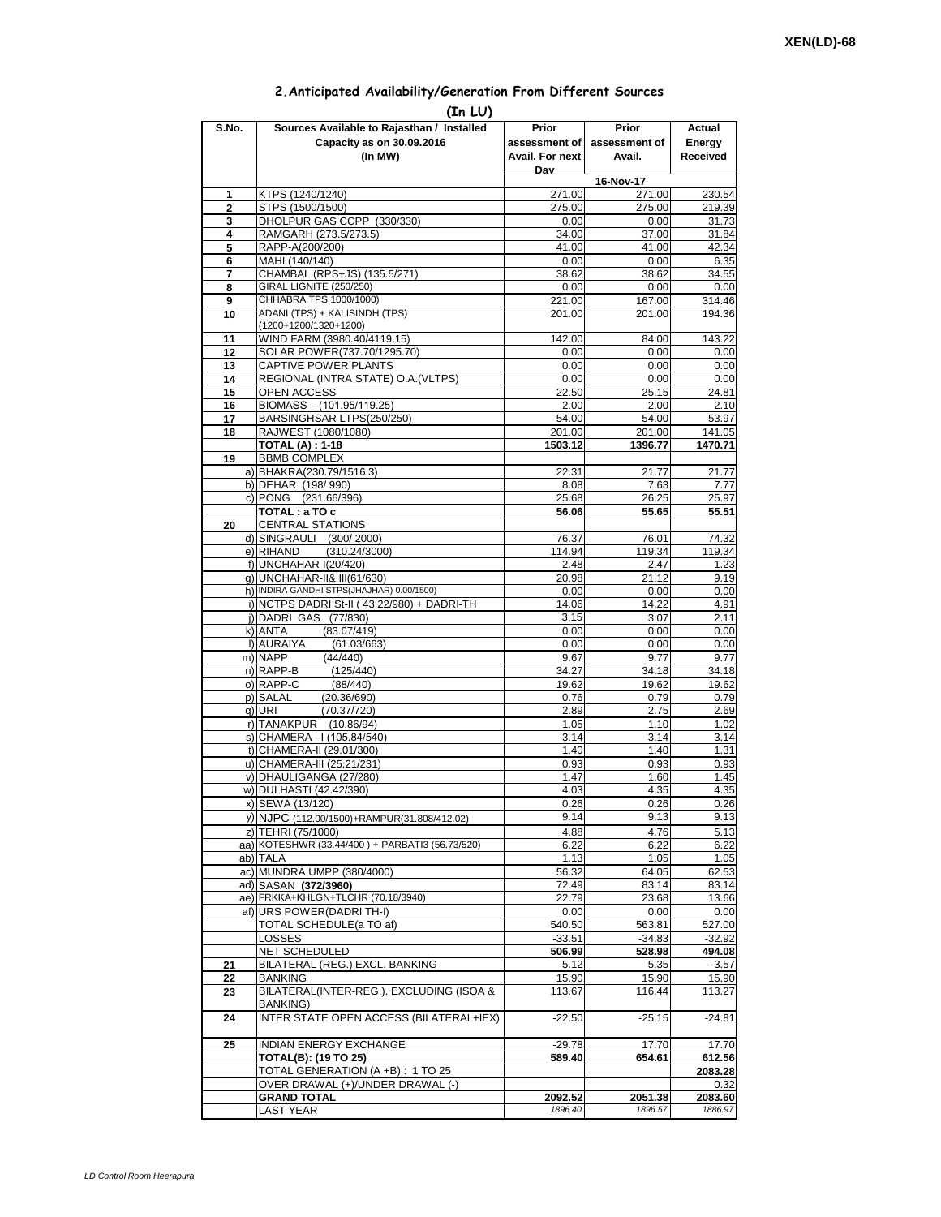## **2.Anticipated Availability/Generation From Different Sources**

| (In LU)        |                                                                 |                    |                    |                    |  |  |  |  |  |
|----------------|-----------------------------------------------------------------|--------------------|--------------------|--------------------|--|--|--|--|--|
| S.No.          | Sources Available to Rajasthan / Installed                      | Prior              | Prior              | Actual             |  |  |  |  |  |
|                | Capacity as on 30.09.2016                                       | assessment of I    | assessment of      | Energy             |  |  |  |  |  |
|                | (In MW)                                                         | Avail. For next    | Avail.             | Received           |  |  |  |  |  |
|                |                                                                 | Dav                | 16-Nov-17          |                    |  |  |  |  |  |
| 1              | KTPS (1240/1240)                                                | 271.00             | 271.00             | 230.54             |  |  |  |  |  |
| $\overline{2}$ | STPS (1500/1500)                                                | 275.00             | 275.00             | 219.39             |  |  |  |  |  |
| 3              | DHOLPUR GAS CCPP (330/330)                                      | 0.00               | 0.00               | 31.73              |  |  |  |  |  |
| 4              | RAMGARH (273.5/273.5)                                           | 34.00              | 37.00              | 31.84              |  |  |  |  |  |
| 5<br>6         | RAPP-A(200/200)<br>MAHI (140/140)                               | 41.00<br>0.00      | 41.00<br>0.00      | 42.34<br>6.35      |  |  |  |  |  |
| 7              | CHAMBAL (RPS+JS) (135.5/271)                                    | 38.62              | 38.62              | 34.55              |  |  |  |  |  |
| 8              | GIRAL LIGNITE (250/250)                                         | 0.00               | 0.00               | 0.00               |  |  |  |  |  |
| 9              | CHHABRA TPS 1000/1000)                                          | 221.00             | 167.00             | 314.46             |  |  |  |  |  |
| 10             | ADANI (TPS) + KALISINDH (TPS)                                   | 201.00             | 201.00             | 194.36             |  |  |  |  |  |
|                | (1200+1200/1320+1200)                                           |                    |                    |                    |  |  |  |  |  |
| 11<br>12       | WIND FARM (3980.40/4119.15)<br>SOLAR POWER(737.70/1295.70)      | 142.00<br>0.00     | 84.00<br>0.00      | 143.22<br>0.00     |  |  |  |  |  |
| 13             | CAPTIVE POWER PLANTS                                            | 0.00               | 0.00               | 0.00               |  |  |  |  |  |
| 14             | REGIONAL (INTRA STATE) O.A. (VLTPS)                             | 0.00               | 0.00               | 0.00               |  |  |  |  |  |
| 15             | <b>OPEN ACCESS</b>                                              | 22.50              | 25.15              | 24.81              |  |  |  |  |  |
| 16             | BIOMASS - (101.95/119.25)                                       | 2.00               | 2.00               | 2.10               |  |  |  |  |  |
| 17             | BARSINGHSAR LTPS(250/250)                                       | 54.00              | 54.00<br>201.00    | 53.97              |  |  |  |  |  |
| 18             | RAJWEST (1080/1080)<br><b>TOTAL (A): 1-18</b>                   | 201.00<br>1503.12  | 1396.77            | 141.05<br>1470.71  |  |  |  |  |  |
| 19             | <b>BBMB COMPLEX</b>                                             |                    |                    |                    |  |  |  |  |  |
|                | a) BHAKRA(230.79/1516.3)                                        | 22.31              | 21.77              | 21.77              |  |  |  |  |  |
|                | b) DEHAR (198/990)                                              | 8.08               | 7.63               | 7.77               |  |  |  |  |  |
|                | c) PONG (231.66/396)                                            | 25.68              | 26.25              | 25.97              |  |  |  |  |  |
|                | TOTAL: a TO c                                                   | 56.06              | 55.65              | 55.51              |  |  |  |  |  |
| 20             | <b>CENTRAL STATIONS</b><br>d) SINGRAULI (300/2000)              | 76.37              | 76.01              | 74.32              |  |  |  |  |  |
|                | e) RIHAND<br>(310.24/3000)                                      | 114.94             | 119.34             | 119.34             |  |  |  |  |  |
|                | f) UNCHAHAR-I(20/420)                                           | 2.48               | 2.47               | 1.23               |  |  |  |  |  |
|                | g) UNCHAHAR-II& III(61/630)                                     | 20.98              | 21.12              | 9.19               |  |  |  |  |  |
|                | h) INDIRA GANDHI STPS(JHAJHAR) 0.00/1500)                       | 0.00               | 0.00               | 0.00               |  |  |  |  |  |
|                | i) NCTPS DADRI St-II (43.22/980) + DADRI-TH                     | 14.06              | 14.22              | 4.91               |  |  |  |  |  |
|                | j) DADRI GAS (77/830)<br>(83.07/419)<br>k) ANTA                 | 3.15<br>0.00       | 3.07<br>0.00       | 2.11<br>0.00       |  |  |  |  |  |
|                | I) AURAIYA<br>(61.03/663)                                       | 0.00               | 0.00               | 0.00               |  |  |  |  |  |
|                | m) NAPP<br>(44/440)                                             | 9.67               | 9.77               | 9.77               |  |  |  |  |  |
|                | n) RAPP-B<br>(125/440)                                          | 34.27              | 34.18              | 34.18              |  |  |  |  |  |
|                | o) RAPP-C<br>(88/440)                                           | 19.62              | 19.62              | 19.62              |  |  |  |  |  |
|                | p) SALAL<br>(20.36/690)                                         | 0.76               | 0.79               | 0.79               |  |  |  |  |  |
|                | q) URI<br>(70.37/720)<br>r) TANAKPUR (10.86/94)                 | 2.89<br>1.05       | 2.75<br>1.10       | 2.69<br>1.02       |  |  |  |  |  |
|                | s) CHAMERA - (105.84/540)                                       | 3.14               | 3.14               | 3.14               |  |  |  |  |  |
|                | t) CHAMERA-II (29.01/300)                                       | 1.40               | 1.40               | 1.31               |  |  |  |  |  |
|                | u) CHAMERA-III (25.21/231)                                      | 0.93               | 0.93               | 0.93               |  |  |  |  |  |
|                | v) DHAULIGANGA (27/280)                                         | 1.47               | 1.60               | 1.45               |  |  |  |  |  |
|                | w) DULHASTI (42.42/390)                                         | 4.03               | 4.35               | 4.35               |  |  |  |  |  |
|                | x) SEWA (13/120)<br>y) NJPC (112.00/1500)+RAMPUR(31.808/412.02) | 0.26<br>9.14       | 0.26<br>9.13       | 0.26<br>9.13       |  |  |  |  |  |
|                | z) TEHRI (75/1000)                                              | 4.88               | 4.76               | 5.13               |  |  |  |  |  |
|                | aa) KOTESHWR (33.44/400) + PARBATI3 (56.73/520)                 | 6.22               | 6.22               | 6.22               |  |  |  |  |  |
|                | ab) TALA                                                        | 1.13               | 1.05               | 1.05               |  |  |  |  |  |
|                | ac) MUNDRA UMPP (380/4000)                                      | 56.32              | 64.05              | 62.53              |  |  |  |  |  |
|                | ad) SASAN (372/3960)                                            | 72.49              | 83.14              | 83.14              |  |  |  |  |  |
|                | ae) FRKKA+KHLGN+TLCHR (70.18/3940)                              | 22.79              | 23.68              | 13.66              |  |  |  |  |  |
|                | af) URS POWER(DADRITH-I)<br>TOTAL SCHEDULE(a TO af)             | 0.00<br>540.50     | 0.00<br>563.81     | 0.00<br>527.00     |  |  |  |  |  |
|                | LOSSES                                                          | $-33.51$           | $-34.83$           | $-32.92$           |  |  |  |  |  |
|                | NET SCHEDULED                                                   | 506.99             | 528.98             | 494.08             |  |  |  |  |  |
| 21             | BILATERAL (REG.) EXCL. BANKING                                  | 5.12               | 5.35               | $-3.57$            |  |  |  |  |  |
| 22             | BANKING                                                         | 15.90              | 15.90              | 15.90              |  |  |  |  |  |
| 23             | BILATERAL(INTER-REG.). EXCLUDING (ISOA &                        | 113.67             | 116.44             | 113.27             |  |  |  |  |  |
| 24             | BANKING)<br>INTER STATE OPEN ACCESS (BILATERAL+IEX)             | $-22.50$           | $-25.15$           | $-24.81$           |  |  |  |  |  |
|                |                                                                 |                    |                    |                    |  |  |  |  |  |
| 25             | <b>INDIAN ENERGY EXCHANGE</b>                                   | $-29.78$           | 17.70              | 17.70              |  |  |  |  |  |
|                | <b>TOTAL(B): (19 TO 25)</b>                                     | 589.40             | 654.61             | 612.56             |  |  |  |  |  |
|                | TOTAL GENERATION (A +B) : 1 TO 25                               |                    |                    | 2083.28            |  |  |  |  |  |
|                | OVER DRAWAL (+)/UNDER DRAWAL (-)                                |                    |                    | 0.32               |  |  |  |  |  |
|                | <b>GRAND TOTAL</b><br>LAST YEAR                                 | 2092.52<br>1896.40 | 2051.38<br>1896.57 | 2083.60<br>1886.97 |  |  |  |  |  |
|                |                                                                 |                    |                    |                    |  |  |  |  |  |